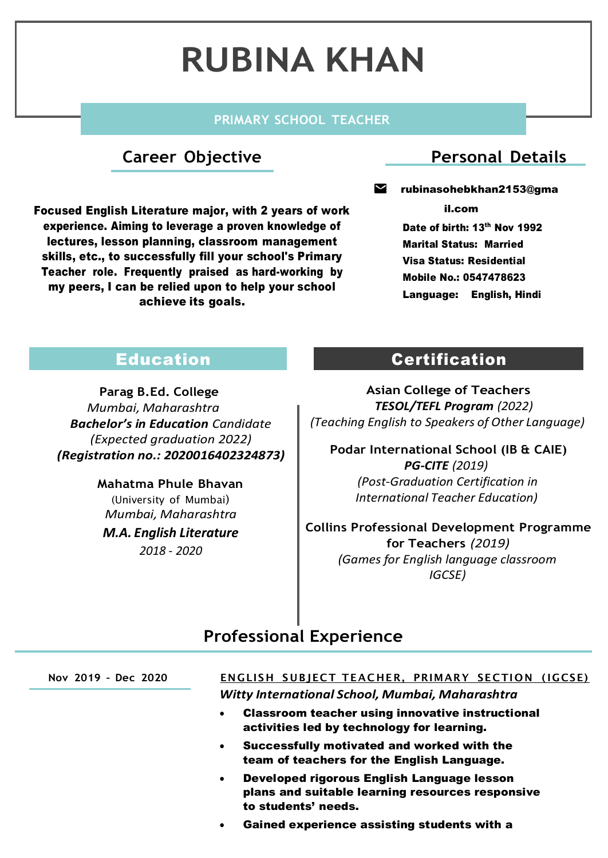# **RUBINA KHAN**

#### **PRIMARY SCHOOL TEACHER**

#### **Career Objective**

Focused English Literature major, with 2 years of work experience. Aiming to leverage a proven knowledge of lectures, lesson planning, classroom management skills, etc., to successfully fill your school's Primary Teacher role. Frequently praised as hard-working by my peers, I can be relied upon to help your school achieve its goals.

#### **Personal Details**

#### Μ rubinasohebkhan2153@gma

il.com

Date of birth: 13<sup>th</sup> Nov 1992 Marital Status: Married Visa Status: Residential Mobile No.: 0547478623 Language: English, Hindi

### Education

**Parag B.Ed. College** *Mumbai, Maharashtra Bachelor's in Education Candidate (Expected graduation 2022) (Registration no.: 2020016402324873)*

> **Mahatma Phule Bhavan** (University of Mumbai) *Mumbai, Maharashtra M.A. English Literature 2018 - 2020*

#### Certification

**Asian College of Teachers** *TESOL/TEFL Program (2022) (Teaching English to Speakers of Other Language)*

**Podar International School (IB & CAIE)** *PG-CITE (2019) (Post-Graduation Certification in International Teacher Education)*

**Collins Professional Development Programme for Teachers** *(2019) (Games for English language classroom IGCSE)*

#### **Professional Experience**

## **Nov 2019 – Dec 2020 ENGLISH SUBJECT TEAC HER, PRIMARY SECTION ( IGCSE)**

*Witty International School, Mumbai, Maharashtra*

- Classroom teacher using innovative instructional activities led by technology for learning.
- Successfully motivated and worked with the team of teachers for the English Language.
- Developed rigorous English Language lesson plans and suitable learning resources responsive to students' needs.
- Gained experience assisting students with a